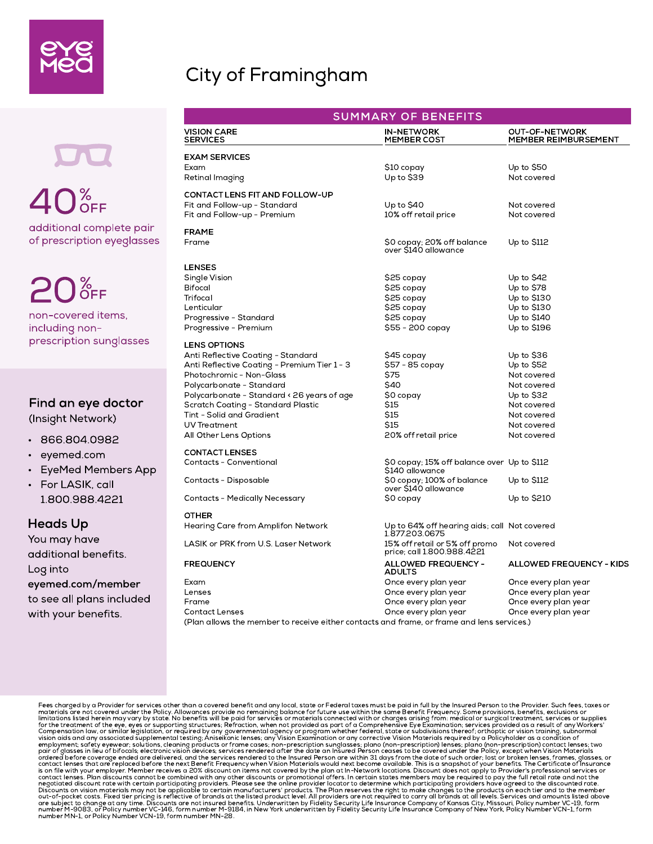### City of Framingham

additional complete pair of prescription eyeglasses  $40<sub>oFF</sub><sup>8</sup>$ 

 $20<sub>8</sub>$ FF

non-covered items, including nonprescription sunglasses

#### Find an eye doctor

(Insight Network)

- 
- 
- 
- prescription sunglass<br>
Find an eye docto<br>
(Insight Network)<br>
 866.804.0982<br>
 eyemed.com<br>
 EyeMed Members<br>
 For LASIK, call<br>
1.800.988.4221<br> **Heads Up**<br>
You may have 1.800.988.4221

Heads Up

Find an eye doct<br>
(Insight Network)<br>
• 866.804.0982<br>
• eyemed.com<br>
• EyeMed Members<br>
• For LASIK, call<br>
1.800.988.4221<br> **Heads Up**<br>
You may have<br>
additional benefits. Find an eye doctor<br>
(Insight Network)<br>
• 866.804.0982<br>
• eyemed.com<br>
• EyeMed Members App<br>
• For LASIK, call<br>
1.800.988.4221<br> **Heads Up**<br>
You may have<br>
additional benefits.<br>
Log into Find an eye docto<br>
(Insight Network)<br>
• 866.804.0982<br>
• eyemed.com<br>
• EyeMed Members<br>
• For LASIK, call<br>
1.800.988.4221<br> **Heads Up**<br>
You may have<br>
additional benefits.<br>
Log into<br>
eyemed.com/membe You may have additional benefits. Log into eyemed.com/member to see all plans included with your benefits.

| <b>SUMMARY OF BENEFITS</b>                                                                |                                                                |                                        |  |
|-------------------------------------------------------------------------------------------|----------------------------------------------------------------|----------------------------------------|--|
| <b>VISION CARE</b><br><b>SERVICES</b>                                                     | <b>IN-NETWORK</b><br><b>MEMBER COST</b>                        | OUT-OF-NETWORK<br>MEMBER REIMBURSEMENT |  |
| <b>EXAM SERVICES</b>                                                                      |                                                                |                                        |  |
| Exam                                                                                      | \$10 copay                                                     | Up to $$50$                            |  |
| Retinal Imaging                                                                           | Up to $$39$                                                    | Not covered                            |  |
| <b>CONTACT LENS FIT AND FOLLOW-UP</b>                                                     |                                                                |                                        |  |
| Fit and Follow-up - Standard                                                              | Up to $$40$                                                    | Not covered                            |  |
| Fit and Follow-up - Premium                                                               | 10% off retail price                                           | Not covered                            |  |
| <b>FRAME</b>                                                                              |                                                                |                                        |  |
| Frame                                                                                     | \$0 copay; 20% off balance<br>over \$140 allowance             | Up to \$112                            |  |
| LENSES                                                                                    |                                                                |                                        |  |
| Single Vision                                                                             | \$25 copay                                                     | Up to $$42$                            |  |
| <b>Bifocal</b>                                                                            | \$25 copay                                                     | Up to \$78                             |  |
| Trifocal                                                                                  | \$25 copay                                                     | Up to \$130                            |  |
| Lenticular                                                                                | \$25 copay                                                     | Up to \$130                            |  |
| Progressive - Standard                                                                    | \$25 copay                                                     | Up to \$140                            |  |
| Progressive - Premium                                                                     | \$55 - 200 copay                                               | Up to \$196                            |  |
| <b>LENS OPTIONS</b>                                                                       |                                                                |                                        |  |
| Anti Reflective Coating - Standard                                                        | \$45 copay                                                     | Up to \$36                             |  |
| Anti Reflective Coating - Premium Tier 1 - 3                                              | \$57 - 85 copay                                                | Up to \$52                             |  |
| Photochromic - Non-Glass                                                                  | <b>\$75</b>                                                    | Not covered                            |  |
| Polycarbonate - Standard                                                                  | \$40                                                           | Not covered                            |  |
| Polycarbonate - Standard < 26 years of age                                                | \$0 copay                                                      | Up to $$32$                            |  |
| Scratch Coating - Standard Plastic                                                        | S15                                                            | Not covered                            |  |
| Tint - Solid and Gradient                                                                 | <b>\$15</b>                                                    | Not covered                            |  |
| <b>UV Treatment</b>                                                                       | <b>\$15</b>                                                    | Not covered                            |  |
| All Other Lens Options                                                                    | 20% off retail price                                           | Not covered                            |  |
| <b>CONTACT LENSES</b>                                                                     |                                                                |                                        |  |
| <b>Contacts - Conventional</b>                                                            | \$0 copay; 15% off balance over Up to \$112<br>\$140 allowance |                                        |  |
| Contacts - Disposable                                                                     | \$0 copay; 100% of balance<br>over \$140 allowance             | Up to \$112                            |  |
| Contacts - Medically Necessary                                                            | \$0 copay                                                      | Up to \$210                            |  |
| OTHER                                                                                     |                                                                |                                        |  |
| Hearing Care from Amplifon Network                                                        | Up to 64% off hearing aids; call Not covered<br>1.877.203.0675 |                                        |  |
| LASIK or PRK from U.S. Laser Network                                                      | 15% off retail or 5% off promo<br>price; call 1.800.988.4221   | Not covered                            |  |
| <b>FREQUENCY</b>                                                                          | <b>ALLOWED FREQUENCY -</b><br><b>ADULTS</b>                    | ALLOWED FREQUENCY - KIDS               |  |
| Exam                                                                                      | Once every plan year                                           | Once every plan year                   |  |
| Lenses                                                                                    | Once every plan year                                           | Once every plan year                   |  |
| Frame                                                                                     | Once every plan year                                           | Once every plan year                   |  |
| <b>Contact Lenses</b>                                                                     | Once every plan year                                           | Once every plan year                   |  |
| (Dlan allowe the member to resolve either septacts and frame, or frame and lens services) |                                                                |                                        |  |

(Plan allows the member to receive either contacts and frame, or frame and lens services.)

Pees charged by a Provider for services other hann a covered benefit and any local, state or Federal toses must be padi in full by the insured Person to the Provisions, benefits, exclusions or meterial stee hot the tore of